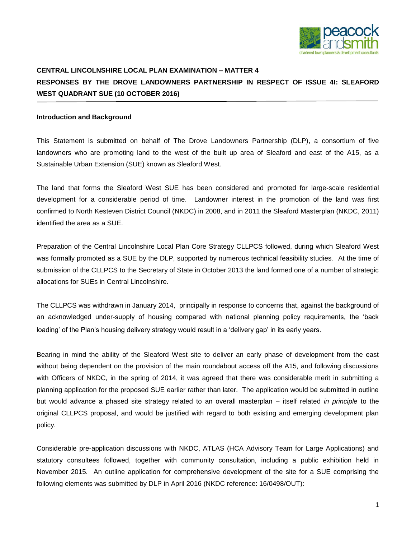

## **CENTRAL LINCOLNSHIRE LOCAL PLAN EXAMINATION – MATTER 4 RESPONSES BY THE DROVE LANDOWNERS PARTNERSHIP IN RESPECT OF ISSUE 4I: SLEAFORD WEST QUADRANT SUE (10 OCTOBER 2016)**

## **Introduction and Background**

This Statement is submitted on behalf of The Drove Landowners Partnership (DLP), a consortium of five landowners who are promoting land to the west of the built up area of Sleaford and east of the A15, as a Sustainable Urban Extension (SUE) known as Sleaford West.

The land that forms the Sleaford West SUE has been considered and promoted for large-scale residential development for a considerable period of time. Landowner interest in the promotion of the land was first confirmed to North Kesteven District Council (NKDC) in 2008, and in 2011 the Sleaford Masterplan (NKDC, 2011) identified the area as a SUE.

Preparation of the Central Lincolnshire Local Plan Core Strategy CLLPCS followed, during which Sleaford West was formally promoted as a SUE by the DLP, supported by numerous technical feasibility studies. At the time of submission of the CLLPCS to the Secretary of State in October 2013 the land formed one of a number of strategic allocations for SUEs in Central Lincolnshire.

The CLLPCS was withdrawn in January 2014, principally in response to concerns that, against the background of an acknowledged under-supply of housing compared with national planning policy requirements, the 'back loading' of the Plan's housing delivery strategy would result in a 'delivery gap' in its early years.

Bearing in mind the ability of the Sleaford West site to deliver an early phase of development from the east without being dependent on the provision of the main roundabout access off the A15, and following discussions with Officers of NKDC, in the spring of 2014, it was agreed that there was considerable merit in submitting a planning application for the proposed SUE earlier rather than later. The application would be submitted in outline but would advance a phased site strategy related to an overall masterplan – itself related *in principle* to the original CLLPCS proposal, and would be justified with regard to both existing and emerging development plan policy.

Considerable pre-application discussions with NKDC, ATLAS (HCA Advisory Team for Large Applications) and statutory consultees followed, together with community consultation, including a public exhibition held in November 2015. An outline application for comprehensive development of the site for a SUE comprising the following elements was submitted by DLP in April 2016 (NKDC reference: 16/0498/OUT):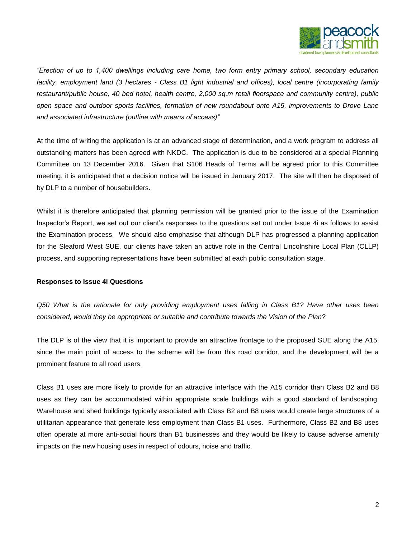

*"Erection of up to 1,400 dwellings including care home, two form entry primary school, secondary education facility, employment land (3 hectares - Class B1 light industrial and offices), local centre (incorporating family restaurant/public house, 40 bed hotel, health centre, 2,000 sq.m retail floorspace and community centre), public open space and outdoor sports facilities, formation of new roundabout onto A15, improvements to Drove Lane and associated infrastructure (outline with means of access)"*

At the time of writing the application is at an advanced stage of determination, and a work program to address all outstanding matters has been agreed with NKDC. The application is due to be considered at a special Planning Committee on 13 December 2016. Given that S106 Heads of Terms will be agreed prior to this Committee meeting, it is anticipated that a decision notice will be issued in January 2017. The site will then be disposed of by DLP to a number of housebuilders.

Whilst it is therefore anticipated that planning permission will be granted prior to the issue of the Examination Inspector's Report, we set out our client's responses to the questions set out under Issue 4i as follows to assist the Examination process. We should also emphasise that although DLP has progressed a planning application for the Sleaford West SUE, our clients have taken an active role in the Central Lincolnshire Local Plan (CLLP) process, and supporting representations have been submitted at each public consultation stage.

## **Responses to Issue 4i Questions**

*Q50 What is the rationale for only providing employment uses falling in Class B1? Have other uses been considered, would they be appropriate or suitable and contribute towards the Vision of the Plan?*

The DLP is of the view that it is important to provide an attractive frontage to the proposed SUE along the A15, since the main point of access to the scheme will be from this road corridor, and the development will be a prominent feature to all road users.

Class B1 uses are more likely to provide for an attractive interface with the A15 corridor than Class B2 and B8 uses as they can be accommodated within appropriate scale buildings with a good standard of landscaping. Warehouse and shed buildings typically associated with Class B2 and B8 uses would create large structures of a utilitarian appearance that generate less employment than Class B1 uses. Furthermore, Class B2 and B8 uses often operate at more anti-social hours than B1 businesses and they would be likely to cause adverse amenity impacts on the new housing uses in respect of odours, noise and traffic.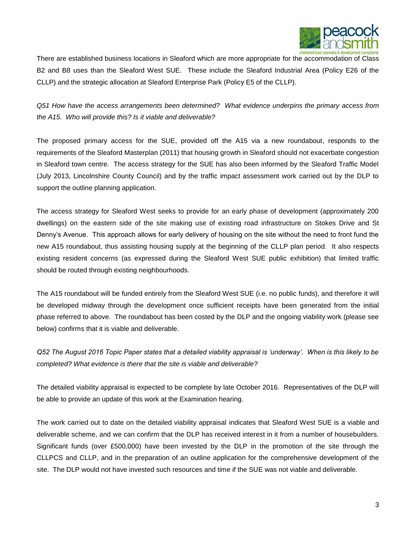

There are established business locations in Sleaford which are more appropriate for the accommodation of Class B2 and B8 uses than the Sleaford West SUE. These include the Sleaford Industrial Area (Policy E26 of the CLLP) and the strategic allocation at Sleaford Enterprise Park (Policy E5 of the CLLP).

*Q51 How have the access arrangements been determined? What evidence underpins the primary access from the A15. Who will provide this? Is it viable and deliverable?*

The proposed primary access for the SUE, provided off the A15 via a new roundabout, responds to the requirements of the Sleaford Masterplan (2011) that housing growth in Sleaford should not exacerbate congestion in Sleaford town centre. The access strategy for the SUE has also been informed by the Sleaford Traffic Model (July 2013, Lincolnshire County Council) and by the traffic impact assessment work carried out by the DLP to support the outline planning application.

The access strategy for Sleaford West seeks to provide for an early phase of development (approximately 200 dwellings) on the eastern side of the site making use of existing road infrastructure on Stokes Drive and St Denny's Avenue. This approach allows for early delivery of housing on the site without the need to front fund the new A15 roundabout, thus assisting housing supply at the beginning of the CLLP plan period. It also respects existing resident concerns (as expressed during the Sleaford West SUE public exhibition) that limited traffic should be routed through existing neighbourhoods.

The A15 roundabout will be funded entirely from the Sleaford West SUE (i.e. no public funds), and therefore it will be developed midway through the development once sufficient receipts have been generated from the initial phase referred to above. The roundabout has been costed by the DLP and the ongoing viability work (please see below) confirms that it is viable and deliverable.

*Q52 The August 2016 Topic Paper states that a detailed viability appraisal is 'underway'. When is this likely to be completed? What evidence is there that the site is viable and deliverable?*

The detailed viability appraisal is expected to be complete by late October 2016. Representatives of the DLP will be able to provide an update of this work at the Examination hearing.

The work carried out to date on the detailed viability appraisal indicates that Sleaford West SUE is a viable and deliverable scheme, and we can confirm that the DLP has received interest in it from a number of housebuilders. Significant funds (over £500,000) have been invested by the DLP in the promotion of the site through the CLLPCS and CLLP, and in the preparation of an outline application for the comprehensive development of the site. The DLP would not have invested such resources and time if the SUE was not viable and deliverable.